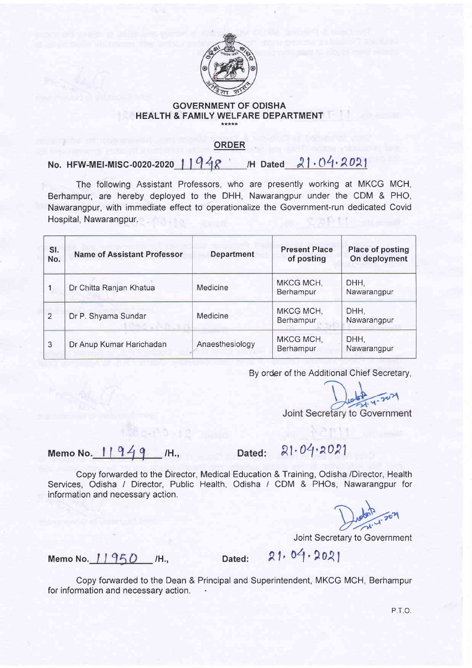

## GOVERNMENT OF ODISHA HEALTH & FAMILY WELFARE DEPARTMENT

## ORDER

No. HFW-MEI-MISC-0020-2020 |  $1948$  H Dated  $21.04.2021$ 

The following Assistant Professors, who are presently working at MKCG MCH, Berhampur, are hereby deployed to the DHH, Nawarangpur under the CDM & PHO, Nawarangpur, with immediate effect to operationalize the Government-run dedicated Covid Hospital, Nawarangpur.

| SI.<br>No.     | <b>Name of Assistant Professor</b> | <b>Department</b> | <b>Present Place</b><br>of posting | <b>Place of posting</b><br>On deployment |
|----------------|------------------------------------|-------------------|------------------------------------|------------------------------------------|
|                | Dr Chitta Ranjan Khatua            | Medicine          | MKCG MCH.<br>Berhampur             | DHH,<br>Nawarangpur                      |
| $\overline{2}$ | Dr P. Shyama Sundar                | Medicine          | MKCG MCH,<br>Berhampur             | DHH.<br>Nawarangpur                      |
| 3              | Dr Anup Kumar Harichadan           | Anaesthesiology   | MKCG MCH,<br>Berhampur             | DHH,<br>Nawarangpur                      |

By order of the Additional Chief Secretary,

Joint Secretary to Government

Memo No.  $11949$  /H., Dated:  $21.04.2021$ 

Copy fonruarded to the Director, Medical Education & Training, Odisha /Director, Health Services, Odisha / Director, Public Health, Odisha / CDM & PHOs, Nawarangpur for information and necessary action.

Joint Secretary to Government

Memo No. 11950 /H., Dated: 21, 04, 2021

Copy forwarded to the Dean & Principal and Superintendent, MKCG MCH, Berhampur for information and necessary action.